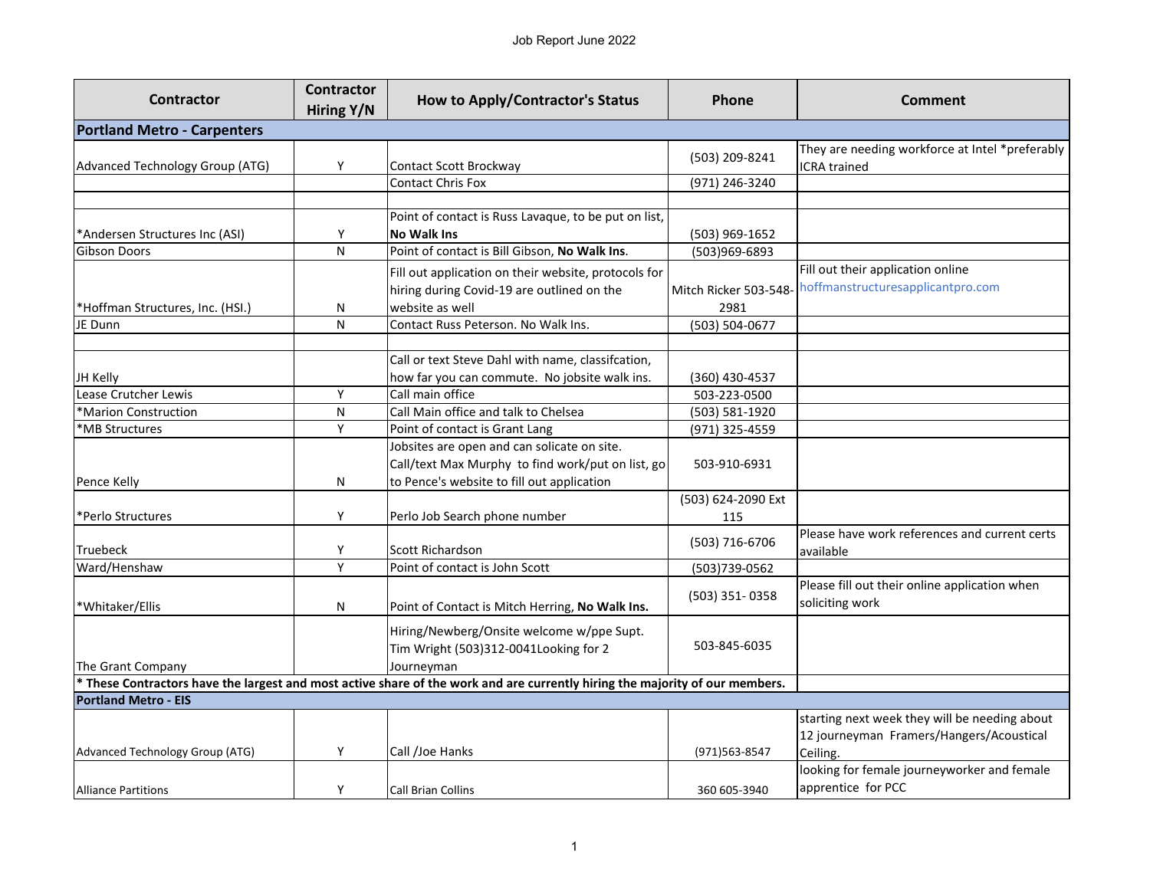| <b>Contractor</b>                                                                                                            | <b>Contractor</b> | <b>How to Apply/Contractor's Status</b>                                            | <b>Phone</b>          | Comment                                                                |  |
|------------------------------------------------------------------------------------------------------------------------------|-------------------|------------------------------------------------------------------------------------|-----------------------|------------------------------------------------------------------------|--|
|                                                                                                                              | Hiring Y/N        |                                                                                    |                       |                                                                        |  |
| <b>Portland Metro - Carpenters</b>                                                                                           |                   |                                                                                    |                       |                                                                        |  |
| Advanced Technology Group (ATG)                                                                                              | Υ                 | Contact Scott Brockway                                                             | (503) 209-8241        | They are needing workforce at Intel *preferably<br><b>ICRA</b> trained |  |
|                                                                                                                              |                   | <b>Contact Chris Fox</b>                                                           | (971) 246-3240        |                                                                        |  |
|                                                                                                                              |                   |                                                                                    |                       |                                                                        |  |
|                                                                                                                              |                   | Point of contact is Russ Lavaque, to be put on list,                               |                       |                                                                        |  |
| *Andersen Structures Inc (ASI)                                                                                               | Υ                 | <b>No Walk Ins</b>                                                                 | (503) 969-1652        |                                                                        |  |
| Gibson Doors                                                                                                                 | N                 | Point of contact is Bill Gibson, No Walk Ins.                                      | (503)969-6893         |                                                                        |  |
|                                                                                                                              |                   | Fill out application on their website, protocols for                               |                       | Fill out their application online                                      |  |
|                                                                                                                              |                   | hiring during Covid-19 are outlined on the                                         | Mitch Ricker 503-548- | hoffmanstructuresapplicantpro.com                                      |  |
| *Hoffman Structures, Inc. (HSI.)                                                                                             | N                 | website as well                                                                    | 2981                  |                                                                        |  |
| JE Dunn                                                                                                                      | N                 | Contact Russ Peterson. No Walk Ins.                                                | (503) 504-0677        |                                                                        |  |
|                                                                                                                              |                   |                                                                                    |                       |                                                                        |  |
|                                                                                                                              |                   | Call or text Steve Dahl with name, classifcation,                                  |                       |                                                                        |  |
| JH Kelly                                                                                                                     |                   | how far you can commute. No jobsite walk ins.                                      | (360) 430-4537        |                                                                        |  |
| Lease Crutcher Lewis                                                                                                         | Υ                 | Call main office                                                                   | 503-223-0500          |                                                                        |  |
| *Marion Construction                                                                                                         | ${\sf N}$         | Call Main office and talk to Chelsea                                               | (503) 581-1920        |                                                                        |  |
| *MB Structures                                                                                                               | Y                 | Point of contact is Grant Lang                                                     | (971) 325-4559        |                                                                        |  |
|                                                                                                                              |                   | Jobsites are open and can solicate on site.                                        |                       |                                                                        |  |
|                                                                                                                              |                   | Call/text Max Murphy to find work/put on list, go                                  | 503-910-6931          |                                                                        |  |
| Pence Kelly                                                                                                                  | N                 | to Pence's website to fill out application                                         |                       |                                                                        |  |
|                                                                                                                              |                   |                                                                                    | (503) 624-2090 Ext    |                                                                        |  |
| *Perlo Structures                                                                                                            | Y                 | Perlo Job Search phone number                                                      | 115                   |                                                                        |  |
| Truebeck                                                                                                                     | Y                 | Scott Richardson                                                                   | (503) 716-6706        | Please have work references and current certs<br>available             |  |
| Ward/Henshaw                                                                                                                 | Υ                 | Point of contact is John Scott                                                     | (503)739-0562         |                                                                        |  |
| *Whitaker/Ellis                                                                                                              | N                 | Point of Contact is Mitch Herring, No Walk Ins.                                    | (503) 351-0358        | Please fill out their online application when<br>soliciting work       |  |
|                                                                                                                              |                   | Hiring/Newberg/Onsite welcome w/ppe Supt.<br>Tim Wright (503)312-0041Looking for 2 | 503-845-6035          |                                                                        |  |
| The Grant Company                                                                                                            |                   | Journeyman                                                                         |                       |                                                                        |  |
| * These Contractors have the largest and most active share of the work and are currently hiring the majority of our members. |                   |                                                                                    |                       |                                                                        |  |
| <b>Portland Metro - EIS</b>                                                                                                  |                   |                                                                                    |                       |                                                                        |  |
|                                                                                                                              |                   |                                                                                    |                       | starting next week they will be needing about                          |  |
|                                                                                                                              |                   |                                                                                    |                       | 12 journeyman Framers/Hangers/Acoustical                               |  |
| Advanced Technology Group (ATG)                                                                                              | Y                 | Call /Joe Hanks                                                                    | (971)563-8547         | Ceiling.                                                               |  |
|                                                                                                                              |                   |                                                                                    |                       | looking for female journeyworker and female<br>apprentice for PCC      |  |
| <b>Alliance Partitions</b>                                                                                                   | Y                 | Call Brian Collins                                                                 | 360 605-3940          |                                                                        |  |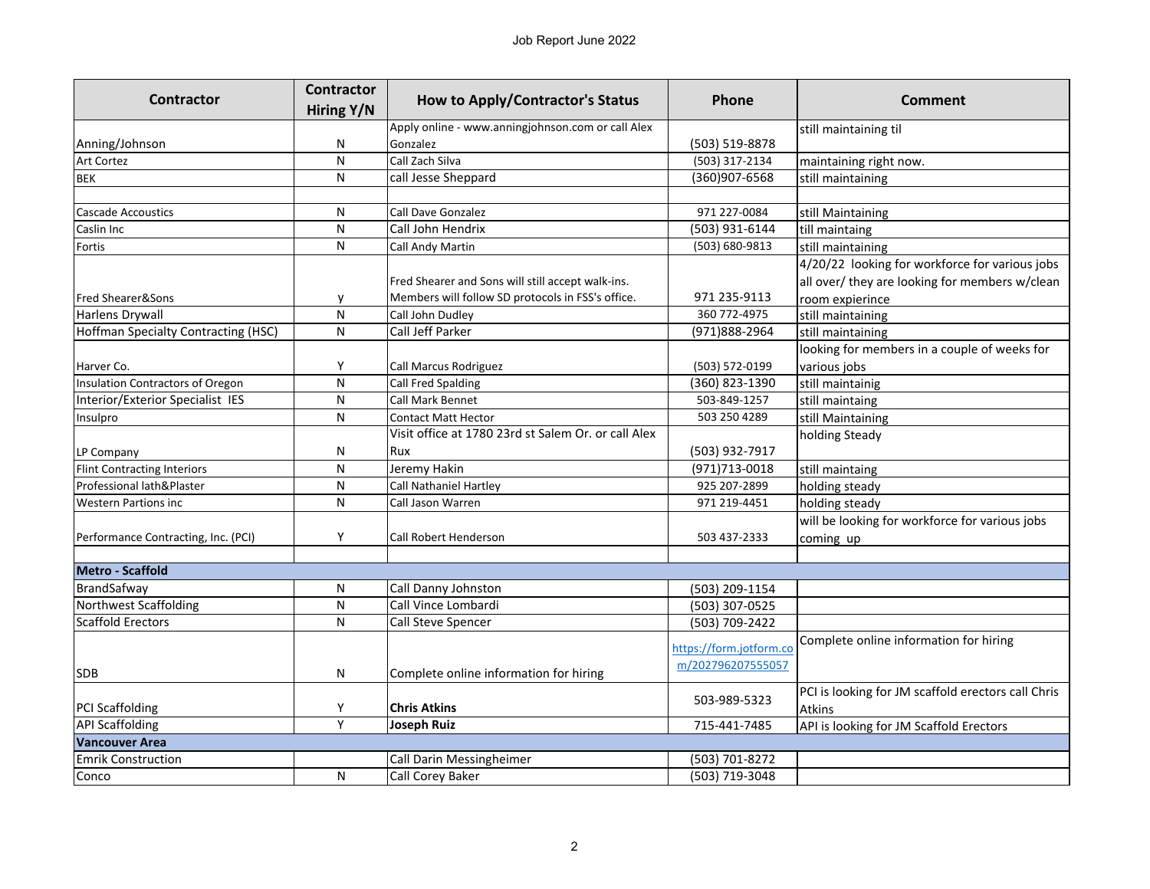| Contractor                                 | <b>Contractor</b>       |                                                     | <b>Phone</b>            | Comment                                            |
|--------------------------------------------|-------------------------|-----------------------------------------------------|-------------------------|----------------------------------------------------|
|                                            | Hiring Y/N              | <b>How to Apply/Contractor's Status</b>             |                         |                                                    |
|                                            |                         | Apply online - www.anningjohnson.com or call Alex   |                         | still maintaining til                              |
| Anning/Johnson                             | N                       | Gonzalez                                            | (503) 519-8878          |                                                    |
| <b>Art Cortez</b>                          | $\mathsf{N}$            | Call Zach Silva                                     | (503) 317-2134          | maintaining right now.                             |
| <b>BEK</b>                                 | N                       | call Jesse Sheppard                                 | (360)907-6568           | still maintaining                                  |
|                                            |                         |                                                     |                         |                                                    |
| <b>Cascade Accoustics</b>                  | N                       | <b>Call Dave Gonzalez</b>                           | 971 227-0084            | still Maintaining                                  |
| Caslin Inc                                 | $\overline{\mathsf{N}}$ | Call John Hendrix                                   | (503) 931-6144          | till maintaing                                     |
| Fortis                                     | N                       | Call Andy Martin                                    | (503) 680-9813          | still maintaining                                  |
|                                            |                         |                                                     |                         | 4/20/22 looking for workforce for various jobs     |
|                                            |                         | Fred Shearer and Sons will still accept walk-ins.   |                         | all over/ they are looking for members w/clean     |
| <b>Fred Shearer&amp;Sons</b>               | y                       | Members will follow SD protocols in FSS's office.   | 971 235-9113            | room expierince                                    |
| Harlens Drywall                            | $\mathsf{N}$            | Call John Dudley                                    | 360 772-4975            | still maintaining                                  |
| <b>Hoffman Specialty Contracting (HSC)</b> | $\mathsf{N}$            | Call Jeff Parker                                    | (971)888-2964           | still maintaining                                  |
|                                            |                         |                                                     |                         | looking for members in a couple of weeks for       |
| Harver Co.                                 | Υ                       | Call Marcus Rodriguez                               | (503) 572-0199          | various jobs                                       |
| <b>Insulation Contractors of Oregon</b>    | $\mathsf{N}$            | Call Fred Spalding                                  | (360) 823-1390          | still maintainig                                   |
| Interior/Exterior Specialist IES           | $\mathsf{N}$            | <b>Call Mark Bennet</b>                             | 503-849-1257            | still maintaing                                    |
| Insulpro                                   | $\mathsf{N}$            | <b>Contact Matt Hector</b>                          | 503 250 4289            | still Maintaining                                  |
|                                            |                         | Visit office at 1780 23rd st Salem Or. or call Alex |                         | holding Steady                                     |
| LP Company                                 | N                       | Rux                                                 | (503) 932-7917          |                                                    |
| Flint Contracting Interiors                | N                       | Jeremy Hakin                                        | (971)713-0018           | still maintaing                                    |
| Professional lath&Plaster                  | ${\sf N}$               | Call Nathaniel Hartley                              | 925 207-2899            | holding steady                                     |
| <b>Western Partions inc</b>                | $\mathsf{N}$            | Call Jason Warren                                   | 971 219-4451            | holding steady                                     |
|                                            |                         |                                                     |                         | will be looking for workforce for various jobs     |
| Performance Contracting, Inc. (PCI)        | Y                       | <b>Call Robert Henderson</b>                        | 503 437-2333            | coming up                                          |
|                                            |                         |                                                     |                         |                                                    |
| <b>Metro - Scaffold</b>                    |                         |                                                     |                         |                                                    |
| BrandSafway                                | N                       | Call Danny Johnston                                 | (503) 209-1154          |                                                    |
| Northwest Scaffolding                      | $\mathsf{N}$            | Call Vince Lombardi                                 | (503) 307-0525          |                                                    |
| Scaffold Erectors                          | N                       | Call Steve Spencer                                  | (503) 709-2422          |                                                    |
|                                            |                         |                                                     |                         | Complete online information for hiring             |
|                                            |                         |                                                     | https://form.jotform.co |                                                    |
| <b>SDB</b>                                 | N                       | Complete online information for hiring              | m/202796207555057       |                                                    |
|                                            |                         |                                                     |                         | PCI is looking for JM scaffold erectors call Chris |
| <b>PCI Scaffolding</b>                     | Υ                       | <b>Chris Atkins</b>                                 | 503-989-5323            | <b>Atkins</b>                                      |
| <b>API Scaffolding</b>                     | Y                       | Joseph Ruiz                                         | 715-441-7485            | API is looking for JM Scaffold Erectors            |
| <b>Vancouver Area</b>                      |                         |                                                     |                         |                                                    |
| <b>Emrik Construction</b>                  |                         | Call Darin Messingheimer                            | (503) 701-8272          |                                                    |
| Conco                                      | N                       | Call Corey Baker                                    | (503) 719-3048          |                                                    |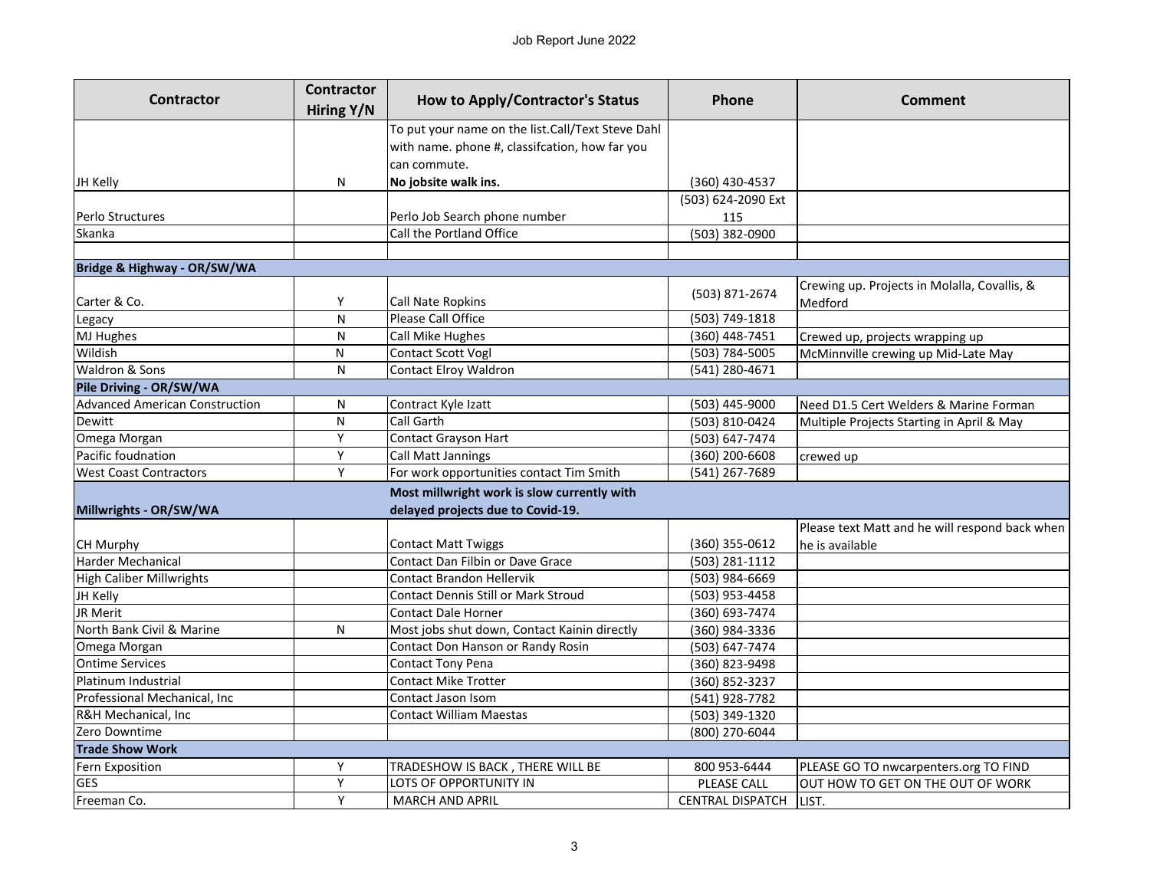| <b>Contractor</b>                     | <b>Contractor</b><br>Hiring Y/N | <b>How to Apply/Contractor's Status</b>           | Phone                   | <b>Comment</b>                                 |
|---------------------------------------|---------------------------------|---------------------------------------------------|-------------------------|------------------------------------------------|
|                                       |                                 | To put your name on the list.Call/Text Steve Dahl |                         |                                                |
|                                       |                                 | with name. phone #, classifcation, how far you    |                         |                                                |
|                                       |                                 | can commute.                                      |                         |                                                |
| JH Kelly                              | N                               | No jobsite walk ins.                              | (360) 430-4537          |                                                |
|                                       |                                 |                                                   | (503) 624-2090 Ext      |                                                |
| Perlo Structures                      |                                 | Perlo Job Search phone number                     | 115                     |                                                |
| Skanka                                |                                 | Call the Portland Office                          | (503) 382-0900          |                                                |
|                                       |                                 |                                                   |                         |                                                |
| Bridge & Highway - OR/SW/WA           |                                 |                                                   |                         |                                                |
|                                       |                                 |                                                   |                         | Crewing up. Projects in Molalla, Covallis, &   |
| Carter & Co.                          | Y                               | Call Nate Ropkins                                 | (503) 871-2674          | Medford                                        |
| Legacy                                | ${\sf N}$                       | Please Call Office                                | (503) 749-1818          |                                                |
| MJ Hughes                             | N                               | Call Mike Hughes                                  | (360) 448-7451          | Crewed up, projects wrapping up                |
| Wildish                               | N                               | Contact Scott Vogl                                | (503) 784-5005          | McMinnville crewing up Mid-Late May            |
| Waldron & Sons                        | N                               | <b>Contact Elroy Waldron</b>                      | (541) 280-4671          |                                                |
| Pile Driving - OR/SW/WA               |                                 |                                                   |                         |                                                |
| <b>Advanced American Construction</b> | N                               | Contract Kyle Izatt                               | (503) 445-9000          | Need D1.5 Cert Welders & Marine Forman         |
| Dewitt                                | N                               | Call Garth                                        | (503) 810-0424          | Multiple Projects Starting in April & May      |
| Omega Morgan                          | Υ                               | Contact Grayson Hart                              | (503) 647-7474          |                                                |
| Pacific foudnation                    | Υ                               | <b>Call Matt Jannings</b>                         | (360) 200-6608          | crewed up                                      |
| <b>West Coast Contractors</b>         | Y                               | For work opportunities contact Tim Smith          | (541) 267-7689          |                                                |
|                                       |                                 | Most millwright work is slow currently with       |                         |                                                |
| Millwrights - OR/SW/WA                |                                 | delayed projects due to Covid-19.                 |                         |                                                |
|                                       |                                 |                                                   |                         | Please text Matt and he will respond back when |
| CH Murphy                             |                                 | <b>Contact Matt Twiggs</b>                        | (360) 355-0612          | he is available                                |
| <b>Harder Mechanical</b>              |                                 | Contact Dan Filbin or Dave Grace                  | (503) 281-1112          |                                                |
| <b>High Caliber Millwrights</b>       |                                 | <b>Contact Brandon Hellervik</b>                  | (503) 984-6669          |                                                |
| JH Kelly                              |                                 | Contact Dennis Still or Mark Stroud               | (503) 953-4458          |                                                |
| JR Merit                              |                                 | <b>Contact Dale Horner</b>                        | (360) 693-7474          |                                                |
| North Bank Civil & Marine             | N                               | Most jobs shut down, Contact Kainin directly      | (360) 984-3336          |                                                |
| Omega Morgan                          |                                 | Contact Don Hanson or Randy Rosin                 | (503) 647-7474          |                                                |
| <b>Ontime Services</b>                |                                 | Contact Tony Pena                                 | (360) 823-9498          |                                                |
| Platinum Industrial                   |                                 | <b>Contact Mike Trotter</b>                       | (360) 852-3237          |                                                |
| Professional Mechanical, Inc          |                                 | Contact Jason Isom                                | (541) 928-7782          |                                                |
| R&H Mechanical, Inc                   |                                 | <b>Contact William Maestas</b>                    | (503) 349-1320          |                                                |
| Zero Downtime                         |                                 |                                                   | (800) 270-6044          |                                                |
| <b>Trade Show Work</b>                |                                 |                                                   |                         |                                                |
| Fern Exposition                       | Y                               | TRADESHOW IS BACK, THERE WILL BE                  | 800 953-6444            | PLEASE GO TO nwcarpenters.org TO FIND          |
| <b>GES</b>                            | Υ                               | LOTS OF OPPORTUNITY IN                            | PLEASE CALL             | OUT HOW TO GET ON THE OUT OF WORK              |
| Freeman Co.                           | Υ                               | <b>MARCH AND APRIL</b>                            | <b>CENTRAL DISPATCH</b> | LIST.                                          |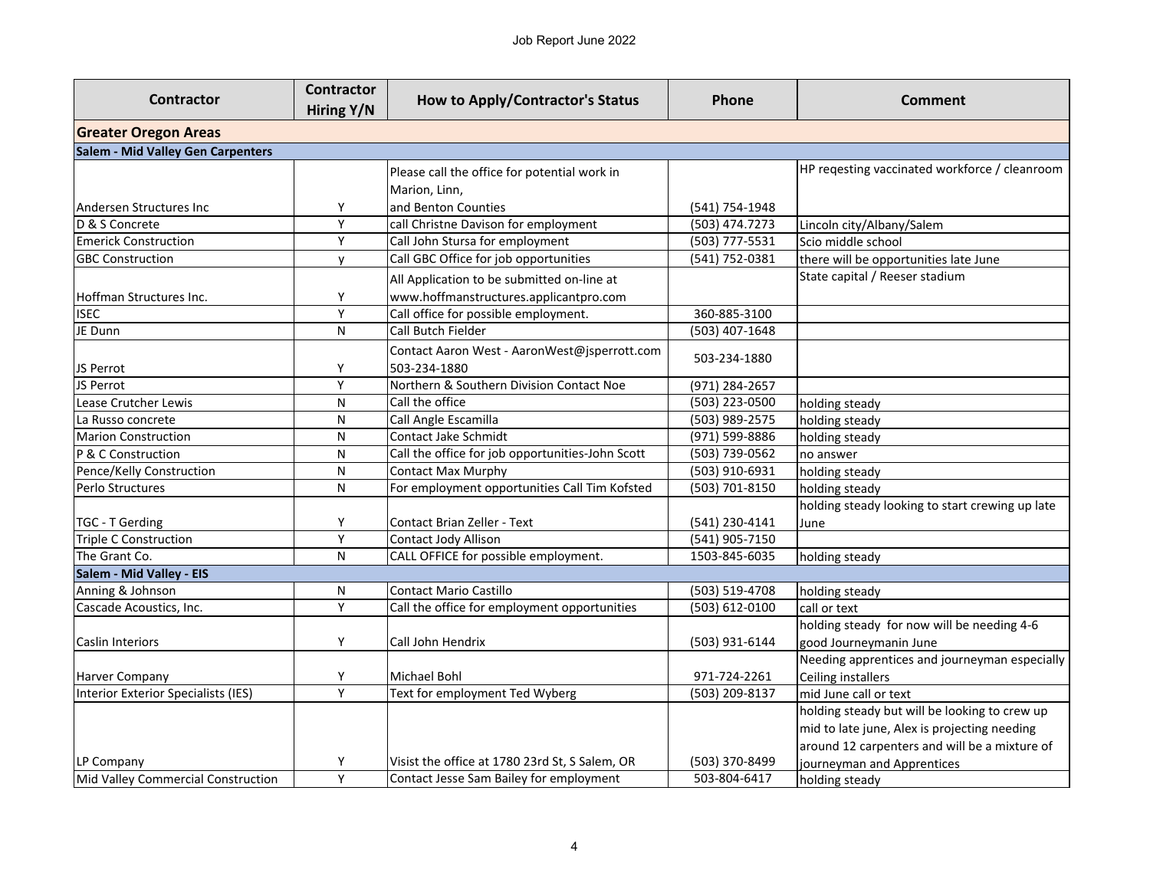|                                     | <b>Contractor</b> |                                                  |                  |                                                 |  |
|-------------------------------------|-------------------|--------------------------------------------------|------------------|-------------------------------------------------|--|
| <b>Contractor</b>                   | Hiring Y/N        | <b>How to Apply/Contractor's Status</b>          | <b>Phone</b>     | <b>Comment</b>                                  |  |
| <b>Greater Oregon Areas</b>         |                   |                                                  |                  |                                                 |  |
| Salem - Mid Valley Gen Carpenters   |                   |                                                  |                  |                                                 |  |
|                                     |                   | Please call the office for potential work in     |                  | HP reqesting vaccinated workforce / cleanroom   |  |
|                                     |                   | Marion, Linn,                                    |                  |                                                 |  |
| Andersen Structures Inc             | Υ                 | and Benton Counties                              | (541) 754-1948   |                                                 |  |
| D & S Concrete                      | Υ                 | call Christne Davison for employment             | (503) 474.7273   | Lincoln city/Albany/Salem                       |  |
| <b>Emerick Construction</b>         | Y                 | Call John Stursa for employment                  | (503) 777-5531   | Scio middle school                              |  |
| <b>GBC Construction</b>             | У                 | Call GBC Office for job opportunities            | (541) 752-0381   | there will be opportunities late June           |  |
|                                     |                   | All Application to be submitted on-line at       |                  | State capital / Reeser stadium                  |  |
| Hoffman Structures Inc.             | Υ                 | www.hoffmanstructures.applicantpro.com           |                  |                                                 |  |
| <b>ISEC</b>                         | $\overline{Y}$    | Call office for possible employment.             | 360-885-3100     |                                                 |  |
| JE Dunn                             | N                 | Call Butch Fielder                               | $(503)$ 407-1648 |                                                 |  |
|                                     |                   | Contact Aaron West - AaronWest@jsperrott.com     | 503-234-1880     |                                                 |  |
| JS Perrot                           | Υ                 | 503-234-1880                                     |                  |                                                 |  |
| JS Perrot                           | Υ                 | Northern & Southern Division Contact Noe         | (971) 284-2657   |                                                 |  |
| Lease Crutcher Lewis                | N                 | Call the office                                  | (503) 223-0500   | holding steady                                  |  |
| La Russo concrete                   | ${\sf N}$         | Call Angle Escamilla                             | (503) 989-2575   | holding steady                                  |  |
| <b>Marion Construction</b>          | ${\sf N}$         | Contact Jake Schmidt                             | (971) 599-8886   | holding steady                                  |  |
| P & C Construction                  | $\mathsf{N}$      | Call the office for job opportunities-John Scott | (503) 739-0562   | no answer                                       |  |
| Pence/Kelly Construction            | N                 | Contact Max Murphy                               | (503) 910-6931   | holding steady                                  |  |
| Perlo Structures                    | N                 | For employment opportunities Call Tim Kofsted    | (503) 701-8150   | holding steady                                  |  |
|                                     |                   |                                                  |                  | holding steady looking to start crewing up late |  |
| TGC - T Gerding                     | Υ                 | Contact Brian Zeller - Text                      | (541) 230-4141   | June                                            |  |
| Triple C Construction               | Y                 | Contact Jody Allison                             | (541) 905-7150   |                                                 |  |
| The Grant Co.                       | N                 | CALL OFFICE for possible employment.             | 1503-845-6035    | holding steady                                  |  |
| Salem - Mid Valley - EIS            |                   |                                                  |                  |                                                 |  |
| Anning & Johnson                    | N                 | <b>Contact Mario Castillo</b>                    | (503) 519-4708   | holding steady                                  |  |
| Cascade Acoustics, Inc.             | Y                 | Call the office for employment opportunities     | (503) 612-0100   | call or text                                    |  |
|                                     |                   |                                                  |                  | holding steady for now will be needing 4-6      |  |
| Caslin Interiors                    | Y                 | Call John Hendrix                                | (503) 931-6144   | good Journeymanin June                          |  |
|                                     |                   |                                                  |                  | Needing apprentices and journeyman especially   |  |
| <b>Harver Company</b>               | Υ                 | Michael Bohl                                     | 971-724-2261     | Ceiling installers                              |  |
| Interior Exterior Specialists (IES) | Y                 | Text for employment Ted Wyberg                   | (503) 209-8137   | mid June call or text                           |  |
|                                     |                   |                                                  |                  | holding steady but will be looking to crew up   |  |
|                                     |                   |                                                  |                  | mid to late june, Alex is projecting needing    |  |
|                                     |                   |                                                  |                  | around 12 carpenters and will be a mixture of   |  |
| LP Company                          | Υ                 | Visist the office at 1780 23rd St, S Salem, OR   | (503) 370-8499   | journeyman and Apprentices                      |  |
| Mid Valley Commercial Construction  | Y                 | Contact Jesse Sam Bailey for employment          | 503-804-6417     | holding steady                                  |  |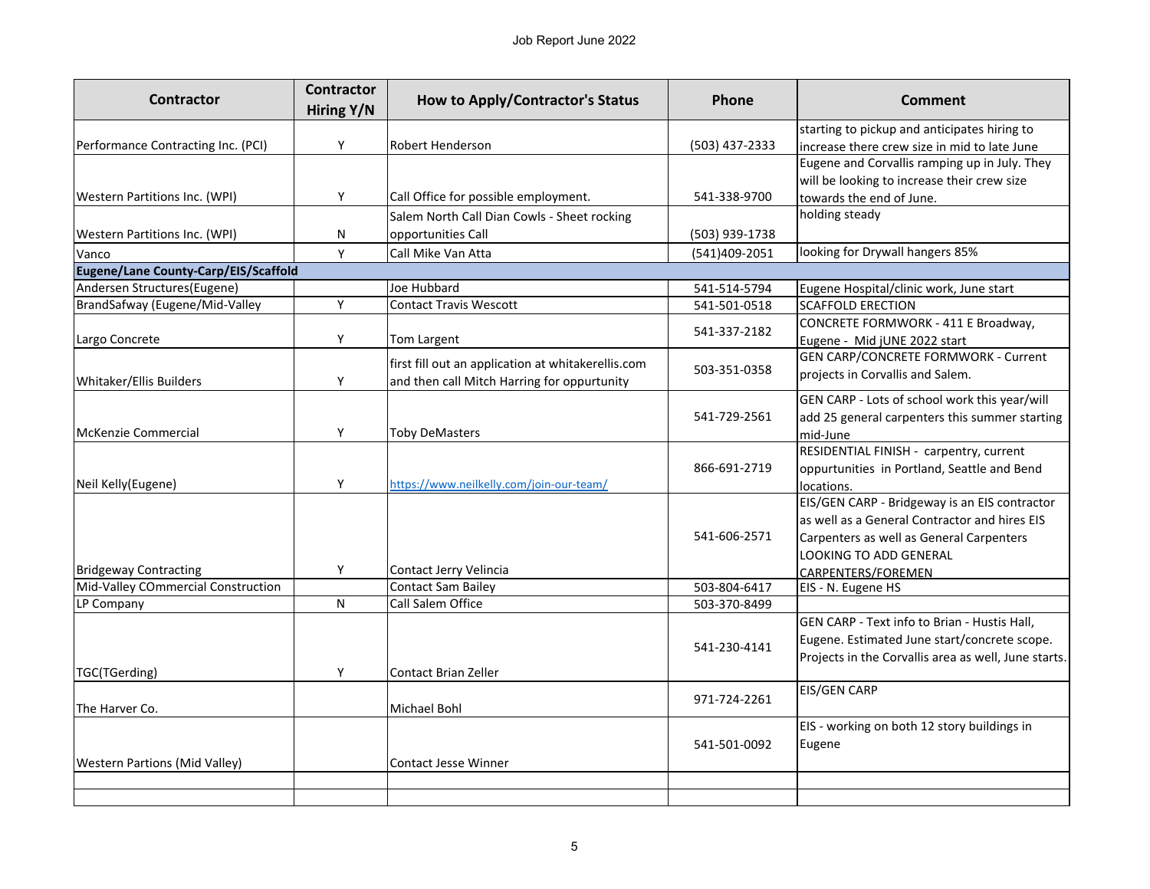| <b>Contractor</b>                    | <b>Contractor</b><br>Hiring Y/N | <b>How to Apply/Contractor's Status</b>            | Phone          | <b>Comment</b>                                                                                                                                                       |
|--------------------------------------|---------------------------------|----------------------------------------------------|----------------|----------------------------------------------------------------------------------------------------------------------------------------------------------------------|
|                                      |                                 |                                                    |                | starting to pickup and anticipates hiring to                                                                                                                         |
| Performance Contracting Inc. (PCI)   | Y                               | <b>Robert Henderson</b>                            | (503) 437-2333 | increase there crew size in mid to late June                                                                                                                         |
|                                      |                                 |                                                    |                | Eugene and Corvallis ramping up in July. They                                                                                                                        |
|                                      |                                 |                                                    |                | will be looking to increase their crew size                                                                                                                          |
| <b>Western Partitions Inc. (WPI)</b> | Y                               | Call Office for possible employment.               | 541-338-9700   | towards the end of June.                                                                                                                                             |
|                                      |                                 | Salem North Call Dian Cowls - Sheet rocking        |                | holding steady                                                                                                                                                       |
| <b>Western Partitions Inc. (WPI)</b> | N                               | opportunities Call                                 | (503) 939-1738 |                                                                                                                                                                      |
| Vanco                                | Υ                               | Call Mike Van Atta                                 | (541)409-2051  | looking for Drywall hangers 85%                                                                                                                                      |
| Eugene/Lane County-Carp/EIS/Scaffold |                                 |                                                    |                |                                                                                                                                                                      |
| Andersen Structures(Eugene)          |                                 | Joe Hubbard                                        | 541-514-5794   | Eugene Hospital/clinic work, June start                                                                                                                              |
| BrandSafway (Eugene/Mid-Valley       | Y                               | Contact Travis Wescott                             | 541-501-0518   | <b>SCAFFOLD ERECTION</b>                                                                                                                                             |
| Largo Concrete                       | Y                               | Tom Largent                                        | 541-337-2182   | CONCRETE FORMWORK - 411 E Broadway,<br>Eugene - Mid jUNE 2022 start                                                                                                  |
|                                      |                                 | first fill out an application at whitakerellis.com |                | <b>GEN CARP/CONCRETE FORMWORK - Current</b>                                                                                                                          |
| Whitaker/Ellis Builders              | Y                               | and then call Mitch Harring for oppurtunity        | 503-351-0358   | projects in Corvallis and Salem.                                                                                                                                     |
| McKenzie Commercial                  | Y                               | Toby DeMasters                                     | 541-729-2561   | GEN CARP - Lots of school work this year/will<br>add 25 general carpenters this summer starting<br>mid-June                                                          |
| Neil Kelly(Eugene)                   | Y                               | https://www.neilkelly.com/join-our-team/           | 866-691-2719   | RESIDENTIAL FINISH - carpentry, current<br>oppurtunities in Portland, Seattle and Bend<br>locations.                                                                 |
| <b>Bridgeway Contracting</b>         | Y                               | Contact Jerry Velincia                             | 541-606-2571   | EIS/GEN CARP - Bridgeway is an EIS contractor<br>as well as a General Contractor and hires EIS<br>Carpenters as well as General Carpenters<br>LOOKING TO ADD GENERAL |
| Mid-Valley COmmercial Construction   |                                 | <b>Contact Sam Bailey</b>                          | 503-804-6417   | CARPENTERS/FOREMEN<br>EIS - N. Eugene HS                                                                                                                             |
| LP Company                           | N                               | Call Salem Office                                  | 503-370-8499   |                                                                                                                                                                      |
| TGC(TGerding)                        | Υ                               | <b>Contact Brian Zeller</b>                        | 541-230-4141   | GEN CARP - Text info to Brian - Hustis Hall,<br>Eugene. Estimated June start/concrete scope.<br>Projects in the Corvallis area as well, June starts.                 |
| The Harver Co.                       |                                 | Michael Bohl                                       | 971-724-2261   | EIS/GEN CARP                                                                                                                                                         |
| <b>Western Partions (Mid Valley)</b> |                                 | Contact Jesse Winner                               | 541-501-0092   | EIS - working on both 12 story buildings in<br>Eugene                                                                                                                |
|                                      |                                 |                                                    |                |                                                                                                                                                                      |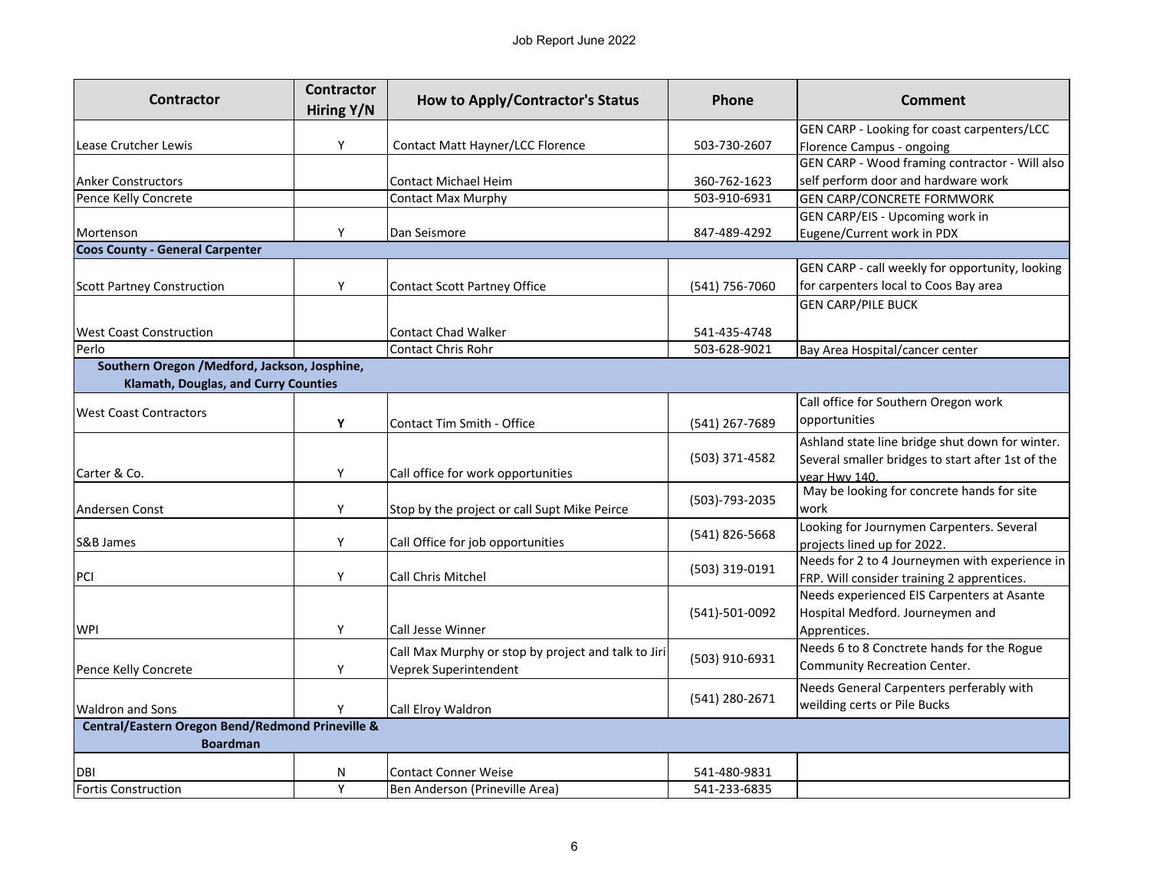| <b>Contractor</b>                                | <b>Contractor</b><br>Hiring Y/N | <b>How to Apply/Contractor's Status</b>                                      | Phone          | <b>Comment</b>                                                                                                        |  |
|--------------------------------------------------|---------------------------------|------------------------------------------------------------------------------|----------------|-----------------------------------------------------------------------------------------------------------------------|--|
|                                                  |                                 |                                                                              |                | GEN CARP - Looking for coast carpenters/LCC                                                                           |  |
| Lease Crutcher Lewis                             | Y                               | <b>Contact Matt Hayner/LCC Florence</b>                                      | 503-730-2607   | Florence Campus - ongoing                                                                                             |  |
|                                                  |                                 |                                                                              |                | GEN CARP - Wood framing contractor - Will also                                                                        |  |
| <b>Anker Constructors</b>                        |                                 | <b>Contact Michael Heim</b>                                                  | 360-762-1623   | self perform door and hardware work                                                                                   |  |
| Pence Kelly Concrete                             |                                 | <b>Contact Max Murphy</b>                                                    | 503-910-6931   | <b>GEN CARP/CONCRETE FORMWORK</b>                                                                                     |  |
|                                                  |                                 |                                                                              |                | GEN CARP/EIS - Upcoming work in                                                                                       |  |
| Mortenson                                        | Y                               | Dan Seismore                                                                 | 847-489-4292   | Eugene/Current work in PDX                                                                                            |  |
| <b>Coos County - General Carpenter</b>           |                                 |                                                                              |                |                                                                                                                       |  |
| <b>Scott Partney Construction</b>                | Y                               | <b>Contact Scott Partney Office</b>                                          | (541) 756-7060 | GEN CARP - call weekly for opportunity, looking<br>for carpenters local to Coos Bay area                              |  |
|                                                  |                                 |                                                                              |                | <b>GEN CARP/PILE BUCK</b>                                                                                             |  |
| <b>West Coast Construction</b>                   |                                 | <b>Contact Chad Walker</b>                                                   | 541-435-4748   |                                                                                                                       |  |
| Perlo                                            |                                 | <b>Contact Chris Rohr</b>                                                    | 503-628-9021   | Bay Area Hospital/cancer center                                                                                       |  |
| Southern Oregon / Medford, Jackson, Josphine,    |                                 |                                                                              |                |                                                                                                                       |  |
| Klamath, Douglas, and Curry Counties             |                                 |                                                                              |                |                                                                                                                       |  |
|                                                  |                                 |                                                                              |                | Call office for Southern Oregon work                                                                                  |  |
| <b>West Coast Contractors</b>                    | Y                               | Contact Tim Smith - Office                                                   | (541) 267-7689 | opportunities                                                                                                         |  |
| Carter & Co.                                     | Y                               | Call office for work opportunities                                           | (503) 371-4582 | Ashland state line bridge shut down for winter.<br>Several smaller bridges to start after 1st of the<br>vear Hwy 140. |  |
| Andersen Const                                   | Y                               | Stop by the project or call Supt Mike Peirce                                 | (503)-793-2035 | May be looking for concrete hands for site<br>work                                                                    |  |
| S&B James                                        | Y                               | Call Office for job opportunities                                            | (541) 826-5668 | Looking for Journymen Carpenters. Several<br>projects lined up for 2022.                                              |  |
| PCI                                              | Y                               | <b>Call Chris Mitchel</b>                                                    | (503) 319-0191 | Needs for 2 to 4 Journeymen with experience in<br>FRP. Will consider training 2 apprentices.                          |  |
| WPI                                              | Y                               | <b>Call Jesse Winner</b>                                                     | (541)-501-0092 | Needs experienced EIS Carpenters at Asante<br>Hospital Medford. Journeymen and<br>Apprentices.                        |  |
| Pence Kelly Concrete                             | Υ                               | Call Max Murphy or stop by project and talk to Jiri<br>Veprek Superintendent | (503) 910-6931 | Needs 6 to 8 Conctrete hands for the Rogue<br>Community Recreation Center.                                            |  |
| <b>Waldron and Sons</b>                          | Υ                               | Call Elroy Waldron                                                           | (541) 280-2671 | Needs General Carpenters perferably with<br>weilding certs or Pile Bucks                                              |  |
| Central/Eastern Oregon Bend/Redmond Prineville & |                                 |                                                                              |                |                                                                                                                       |  |
| <b>Boardman</b>                                  |                                 |                                                                              |                |                                                                                                                       |  |
| DBI                                              | Ν                               | <b>Contact Conner Weise</b>                                                  | 541-480-9831   |                                                                                                                       |  |
| <b>Fortis Construction</b>                       | Y                               | Ben Anderson (Prineville Area)                                               | 541-233-6835   |                                                                                                                       |  |